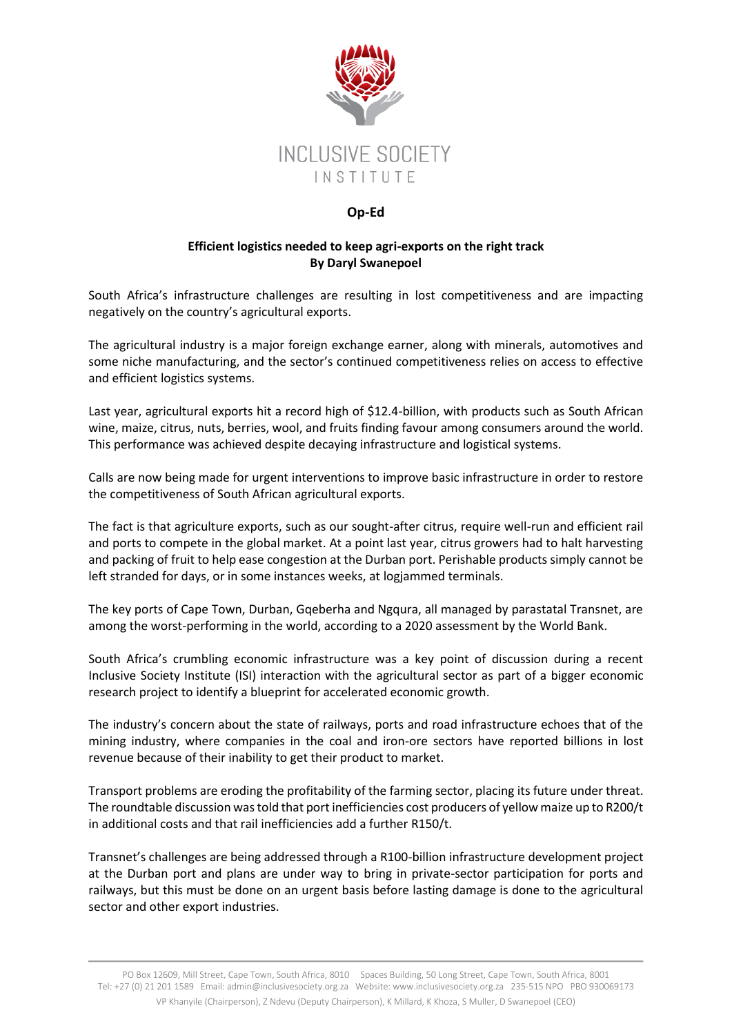

## **Op-Ed**

## **Efficient logistics needed to keep agri-exports on the right track By Daryl Swanepoel**

South Africa's infrastructure challenges are resulting in lost competitiveness and are impacting negatively on the country's agricultural exports.

The agricultural industry is a major foreign exchange earner, along with minerals, automotives and some niche manufacturing, and the sector's continued competitiveness relies on access to effective and efficient logistics systems.

Last year, agricultural exports hit a record high of \$12.4-billion, with products such as South African wine, maize, citrus, nuts, berries, wool, and fruits finding favour among consumers around the world. This performance was achieved despite decaying infrastructure and logistical systems.

Calls are now being made for urgent interventions to improve basic infrastructure in order to restore the competitiveness of South African agricultural exports.

The fact is that agriculture exports, such as our sought-after citrus, require well-run and efficient rail and ports to compete in the global market. At a point last year, citrus growers had to halt harvesting and packing of fruit to help ease congestion at the Durban port. Perishable products simply cannot be left stranded for days, or in some instances weeks, at logjammed terminals.

The key ports of Cape Town, Durban, Gqeberha and Ngqura, all managed by parastatal Transnet, are among the worst-performing in the world, according to a 2020 assessment by the World Bank.

South Africa's crumbling economic infrastructure was a key point of discussion during a recent Inclusive Society Institute (ISI) interaction with the agricultural sector as part of a bigger economic research project to identify a blueprint for accelerated economic growth.

The industry's concern about the state of railways, ports and road infrastructure echoes that of the mining industry, where companies in the coal and iron-ore sectors have reported billions in lost revenue because of their inability to get their product to market.

Transport problems are eroding the profitability of the farming sector, placing its future under threat. The roundtable discussion was told that port inefficiencies cost producers of yellow maize up to R200/t in additional costs and that rail inefficiencies add a further R150/t.

Transnet's challenges are being addressed through a R100-billion infrastructure development project at the Durban port and plans are under way to bring in private-sector participation for ports and railways, but this must be done on an urgent basis before lasting damage is done to the agricultural sector and other export industries.